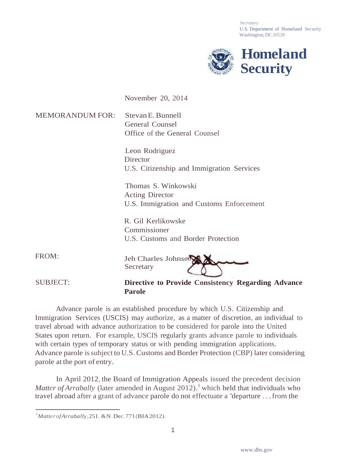*Secretary* U.S. Department of Homeland Security Washington, DC20528



November 20, 2014

MEMORANDUM FOR: StevanE.Bunnell General Counsel Office of the General Counsel

> Leon Rodriguez **Director** U.S. Citizenship and Immigration Services

Thomas S. Winkowski Acting Director U.S. Immigration and Customs Enforcement

R. Gil Kerlikowske Commissioner U.S. Customs and Border Protection

FROM: Jeh Charles Johnson **Secretary** 

SUBJECT: **Directive to Provide Consistency Regarding Advance Parole**

Advance parole is an established procedure by which U.S. Citizenship and Immigration Services (USCIS) may authorize, as a matter of discretion, an individual to travel abroad with advance authorization to be considered for parole into the United States upon return. For example, USCIS regularly grants advance parole to individuals with certain types of temporary status or with pending immigration applications. Advance parole is subject to U.S. Customs and Border Protection (CBP) later considering parole at the port of entry.

In April 2012, the Board of Immigration Appeals issued the precedent decision *Matter of Arrabally* (later amended in August 2012), <sup>1</sup> which held that individuals who travel abroad after a grant of advance parole do not effectuate a "departure . . . from the

<sup>&</sup>lt;sup>1</sup>Matter of Arrabally, 251. & N. Dec. 771 (BIA 2012).